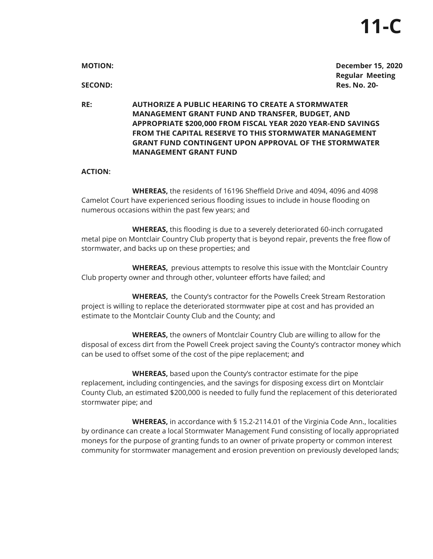| <b>MOTION:</b> | <b>December 15, 2020</b>                          |
|----------------|---------------------------------------------------|
| SECOND:        | <b>Regular Meeting</b><br><b>Res. No. 20-</b>     |
| DE.            | AUTHODIZE A DURLIC HEADING TO CDEATE A STODMMATED |

**RE: AUTHORIZE A PUBLIC HEARING TO CREATE A STORM MANAGEMENT GRANT FUND AND TRANSFER, BUDGET, AND APPROPRIATE \$200,000 FROM FISCAL YEAR 2020 YEAR-END SAVINGS FROM THE CAPITAL RESERVE TO THIS STORMWATER MANAGEMENT GRANT FUND CONTINGENT UPON APPROVAL OF THE STORMWATER MANAGEMENT GRANT FUND**

## **ACTION:**

**WHEREAS,** the residents of 16196 Sheffield Drive and 4094, 4096 and 4098 Camelot Court have experienced serious flooding issues to include in house flooding on numerous occasions within the past few years; and

**WHEREAS,** this flooding is due to a severely deteriorated 60-inch corrugated metal pipe on Montclair Country Club property that is beyond repair, prevents the free flow of stormwater, and backs up on these properties; and

**WHEREAS,** previous attempts to resolve this issue with the Montclair Country Club property owner and through other, volunteer efforts have failed; and

**WHEREAS,** the County's contractor for the Powells Creek Stream Restoration project is willing to replace the deteriorated stormwater pipe at cost and has provided an estimate to the Montclair County Club and the County; and

**WHEREAS,** the owners of Montclair Country Club are willing to allow for the disposal of excess dirt from the Powell Creek project saving the County's contractor money which can be used to offset some of the cost of the pipe replacement; and

**WHEREAS,** based upon the County's contractor estimate for the pipe replacement, including contingencies, and the savings for disposing excess dirt on Montclair County Club, an estimated \$200,000 is needed to fully fund the replacement of this deteriorated stormwater pipe; and

**WHEREAS,** in accordance with § 15.2-2114.01 of the Virginia Code Ann., localities by ordinance can create a local Stormwater Management Fund consisting of locally appropriated moneys for the purpose of granting funds to an owner of private property or common interest community for stormwater management and erosion prevention on previously developed lands;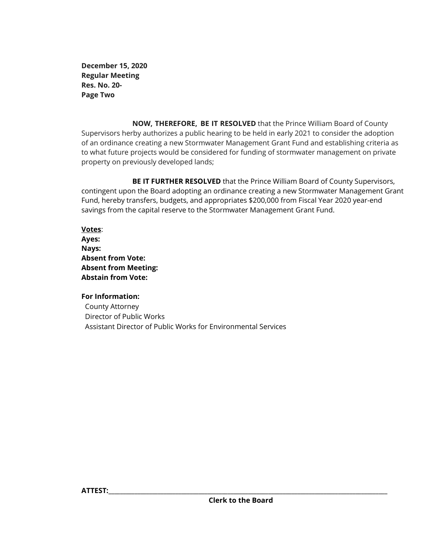**December 15, 2020 Regular Meeting Res. No. 20- Page Two**

**NOW, THEREFORE, BE IT RESOLVED** that the Prince William Board of County Supervisors herby authorizes a public hearing to be held in early 2021 to consider the adoption of an ordinance creating a new Stormwater Management Grant Fund and establishing criteria as to what future projects would be considered for funding of stormwater management on private property on previously developed lands;

**BE IT FURTHER RESOLVED** that the Prince William Board of County Supervisors, contingent upon the Board adopting an ordinance creating a new Stormwater Management Grant Fund, hereby transfers, budgets, and appropriates \$200,000 from Fiscal Year 2020 year-end savings from the capital reserve to the Stormwater Management Grant Fund.

**Votes**: **Ayes: Nays: Absent from Vote: Absent from Meeting: Abstain from Vote:**

**For Information:** County Attorney Director of Public Works Assistant Director of Public Works for Environmental Services

**ATTEST:\_\_\_\_\_\_\_\_\_\_\_\_\_\_\_\_\_\_\_\_\_\_\_\_\_\_\_\_\_\_\_\_\_\_\_\_\_\_\_\_\_\_\_\_\_\_\_\_\_\_\_\_\_\_\_\_\_\_\_\_\_\_\_\_\_\_\_\_\_\_\_\_\_\_\_\_\_\_\_\_\_\_\_\_\_\_\_\_\_\_\_\_\_\_\_\_**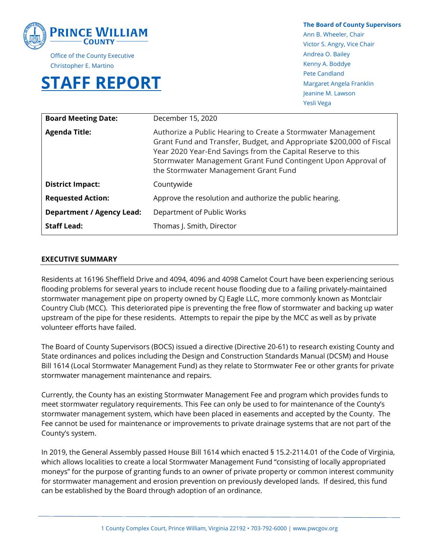

Office of the County Executive Christopher E. Martino

# **STAFF REPORT**

**The Board of County Supervisors**  Ann B. Wheeler, Chair Victor S. Angry, Vice Chair Andrea O. Bailey Kenny A. Boddye Pete Candland Margaret Angela Franklin Jeanine M. Lawson Yesli Vega

| <b>Board Meeting Date:</b>       | December 15, 2020                                                                                                                                                                                                                                                                                           |
|----------------------------------|-------------------------------------------------------------------------------------------------------------------------------------------------------------------------------------------------------------------------------------------------------------------------------------------------------------|
| <b>Agenda Title:</b>             | Authorize a Public Hearing to Create a Stormwater Management<br>Grant Fund and Transfer, Budget, and Appropriate \$200,000 of Fiscal<br>Year 2020 Year-End Savings from the Capital Reserve to this<br>Stormwater Management Grant Fund Contingent Upon Approval of<br>the Stormwater Management Grant Fund |
| <b>District Impact:</b>          | Countywide                                                                                                                                                                                                                                                                                                  |
| <b>Requested Action:</b>         | Approve the resolution and authorize the public hearing.                                                                                                                                                                                                                                                    |
| <b>Department / Agency Lead:</b> | Department of Public Works                                                                                                                                                                                                                                                                                  |
| <b>Staff Lead:</b>               | Thomas J. Smith, Director                                                                                                                                                                                                                                                                                   |

#### **EXECUTIVE SUMMARY**

Residents at 16196 Sheffield Drive and 4094, 4096 and 4098 Camelot Court have been experiencing serious flooding problems for several years to include recent house flooding due to a failing privately-maintained stormwater management pipe on property owned by CJ Eagle LLC, more commonly known as Montclair Country Club (MCC). This deteriorated pipe is preventing the free flow of stormwater and backing up water upstream of the pipe for these residents. Attempts to repair the pipe by the MCC as well as by private volunteer efforts have failed.

The Board of County Supervisors (BOCS) issued a directive (Directive 20-61) to research existing County and State ordinances and polices including the Design and Construction Standards Manual (DCSM) and House Bill 1614 (Local Stormwater Management Fund) as they relate to Stormwater Fee or other grants for private stormwater management maintenance and repairs.

Currently, the County has an existing Stormwater Management Fee and program which provides funds to meet stormwater regulatory requirements. This Fee can only be used to for maintenance of the County's stormwater management system, which have been placed in easements and accepted by the County. The Fee cannot be used for maintenance or improvements to private drainage systems that are not part of the County's system.

In 2019, the General Assembly passed House Bill 1614 which enacted § 15.2-2114.01 of the Code of Virginia, which allows localities to create a local Stormwater Management Fund "consisting of locally appropriated moneys" for the purpose of granting funds to an owner of private property or common interest community for stormwater management and erosion prevention on previously developed lands. If desired, this fund can be established by the Board through adoption of an ordinance.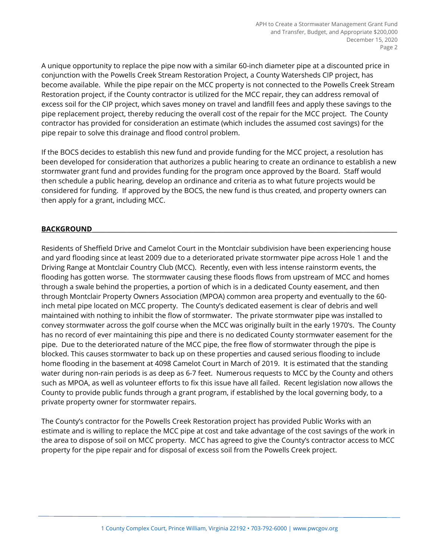A unique opportunity to replace the pipe now with a similar 60-inch diameter pipe at a discounted price in conjunction with the Powells Creek Stream Restoration Project, a County Watersheds CIP project, has become available. While the pipe repair on the MCC property is not connected to the Powells Creek Stream Restoration project, if the County contractor is utilized for the MCC repair, they can address removal of excess soil for the CIP project, which saves money on travel and landfill fees and apply these savings to the pipe replacement project, thereby reducing the overall cost of the repair for the MCC project. The County contractor has provided for consideration an estimate (which includes the assumed cost savings) for the pipe repair to solve this drainage and flood control problem.

If the BOCS decides to establish this new fund and provide funding for the MCC project, a resolution has been developed for consideration that authorizes a public hearing to create an ordinance to establish a new stormwater grant fund and provides funding for the program once approved by the Board. Staff would then schedule a public hearing, develop an ordinance and criteria as to what future projects would be considered for funding. If approved by the BOCS, the new fund is thus created, and property owners can then apply for a grant, including MCC.

# **BACKGROUND**

Residents of Sheffield Drive and Camelot Court in the Montclair subdivision have been experiencing house and yard flooding since at least 2009 due to a deteriorated private stormwater pipe across Hole 1 and the Driving Range at Montclair Country Club (MCC). Recently, even with less intense rainstorm events, the flooding has gotten worse. The stormwater causing these floods flows from upstream of MCC and homes through a swale behind the properties, a portion of which is in a dedicated County easement, and then through Montclair Property Owners Association (MPOA) common area property and eventually to the 60 inch metal pipe located on MCC property. The County's dedicated easement is clear of debris and well maintained with nothing to inhibit the flow of stormwater. The private stormwater pipe was installed to convey stormwater across the golf course when the MCC was originally built in the early 1970's. The County has no record of ever maintaining this pipe and there is no dedicated County stormwater easement for the pipe. Due to the deteriorated nature of the MCC pipe, the free flow of stormwater through the pipe is blocked. This causes stormwater to back up on these properties and caused serious flooding to include home flooding in the basement at 4098 Camelot Court in March of 2019. It is estimated that the standing water during non-rain periods is as deep as 6-7 feet. Numerous requests to MCC by the County and others such as MPOA, as well as volunteer efforts to fix this issue have all failed. Recent legislation now allows the County to provide public funds through a grant program, if established by the local governing body, to a private property owner for stormwater repairs.

The County's contractor for the Powells Creek Restoration project has provided Public Works with an estimate and is willing to replace the MCC pipe at cost and take advantage of the cost savings of the work in the area to dispose of soil on MCC property. MCC has agreed to give the County's contractor access to MCC property for the pipe repair and for disposal of excess soil from the Powells Creek project.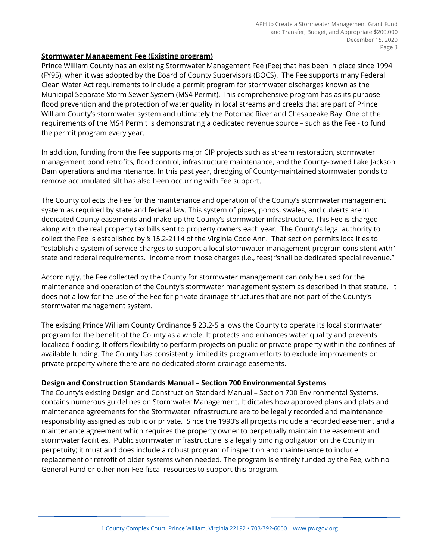## **Stormwater Management Fee (Existing program)**

Prince William County has an existing Stormwater Management Fee (Fee) that has been in place since 1994 (FY95), when it was adopted by the Board of County Supervisors (BOCS). The Fee supports many Federal Clean Water Act requirements to include a permit program for stormwater discharges known as the Municipal Separate Storm Sewer System (MS4 Permit). This comprehensive program has as its purpose flood prevention and the protection of water quality in local streams and creeks that are part of Prince William County's stormwater system and ultimately the Potomac River and Chesapeake Bay. One of the requirements of the MS4 Permit is demonstrating a dedicated revenue source – such as the Fee - to fund the permit program every year.

In addition, funding from the Fee supports major CIP projects such as stream restoration, stormwater management pond retrofits, flood control, infrastructure maintenance, and the County-owned Lake Jackson Dam operations and maintenance. In this past year, dredging of County-maintained stormwater ponds to remove accumulated silt has also been occurring with Fee support.

The County collects the Fee for the maintenance and operation of the County's stormwater management system as required by state and federal law. This system of pipes, ponds, swales, and culverts are in dedicated County easements and make up the County's stormwater infrastructure. This Fee is charged along with the real property tax bills sent to property owners each year. The County's legal authority to collect the Fee is established by § 15.2-2114 of the Virginia Code Ann. That section permits localities to "establish a system of service charges to support a local stormwater management program consistent with" state and federal requirements. Income from those charges (i.e., fees) "shall be dedicated special revenue."

Accordingly, the Fee collected by the County for stormwater management can only be used for the maintenance and operation of the County's stormwater management system as described in that statute. It does not allow for the use of the Fee for private drainage structures that are not part of the County's stormwater management system.

The existing Prince William County Ordinance § 23.2-5 allows the County to operate its local stormwater program for the benefit of the County as a whole. It protects and enhances water quality and prevents localized flooding. It offers flexibility to perform projects on public or private property within the confines of available funding. The County has consistently limited its program efforts to exclude improvements on private property where there are no dedicated storm drainage easements.

# **Design and Construction Standards Manual – Section 700 Environmental Systems**

The County's existing Design and Construction Standard Manual – Section 700 Environmental Systems, contains numerous guidelines on Stormwater Management. It dictates how approved plans and plats and maintenance agreements for the Stormwater infrastructure are to be legally recorded and maintenance responsibility assigned as public or private. Since the 1990's all projects include a recorded easement and a maintenance agreement which requires the property owner to perpetually maintain the easement and stormwater facilities. Public stormwater infrastructure is a legally binding obligation on the County in perpetuity; it must and does include a robust program of inspection and maintenance to include replacement or retrofit of older systems when needed. The program is entirely funded by the Fee, with no General Fund or other non-Fee fiscal resources to support this program.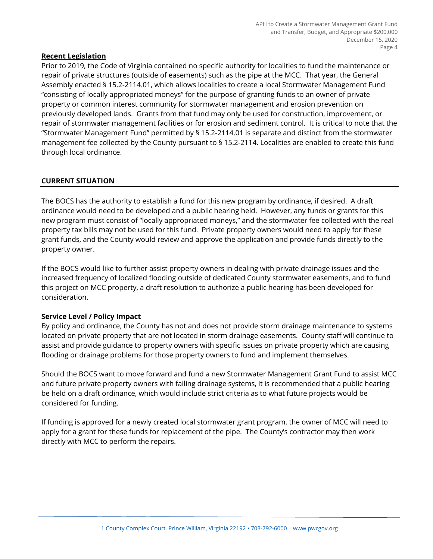## **Recent Legislation**

Prior to 2019, the Code of Virginia contained no specific authority for localities to fund the maintenance or repair of private structures (outside of easements) such as the pipe at the MCC. That year, the General Assembly enacted § 15.2-2114.01, which allows localities to create a local Stormwater Management Fund "consisting of locally appropriated moneys" for the purpose of granting funds to an owner of private property or common interest community for stormwater management and erosion prevention on previously developed lands. Grants from that fund may only be used for construction, improvement, or repair of stormwater management facilities or for erosion and sediment control. It is critical to note that the "Stormwater Management Fund" permitted by § 15.2-2114.01 is separate and distinct from the stormwater management fee collected by the County pursuant to § 15.2-2114. Localities are enabled to create this fund through local ordinance.

# **CURRENT SITUATION**

The BOCS has the authority to establish a fund for this new program by ordinance, if desired. A draft ordinance would need to be developed and a public hearing held. However, any funds or grants for this new program must consist of "locally appropriated moneys," and the stormwater fee collected with the real property tax bills may not be used for this fund. Private property owners would need to apply for these grant funds, and the County would review and approve the application and provide funds directly to the property owner.

If the BOCS would like to further assist property owners in dealing with private drainage issues and the increased frequency of localized flooding outside of dedicated County stormwater easements, and to fund this project on MCC property, a draft resolution to authorize a public hearing has been developed for consideration.

#### **Service Level / Policy Impact**

By policy and ordinance, the County has not and does not provide storm drainage maintenance to systems located on private property that are not located in storm drainage easements. County staff will continue to assist and provide guidance to property owners with specific issues on private property which are causing flooding or drainage problems for those property owners to fund and implement themselves.

Should the BOCS want to move forward and fund a new Stormwater Management Grant Fund to assist MCC and future private property owners with failing drainage systems, it is recommended that a public hearing be held on a draft ordinance, which would include strict criteria as to what future projects would be considered for funding.

If funding is approved for a newly created local stormwater grant program, the owner of MCC will need to apply for a grant for these funds for replacement of the pipe. The County's contractor may then work directly with MCC to perform the repairs.